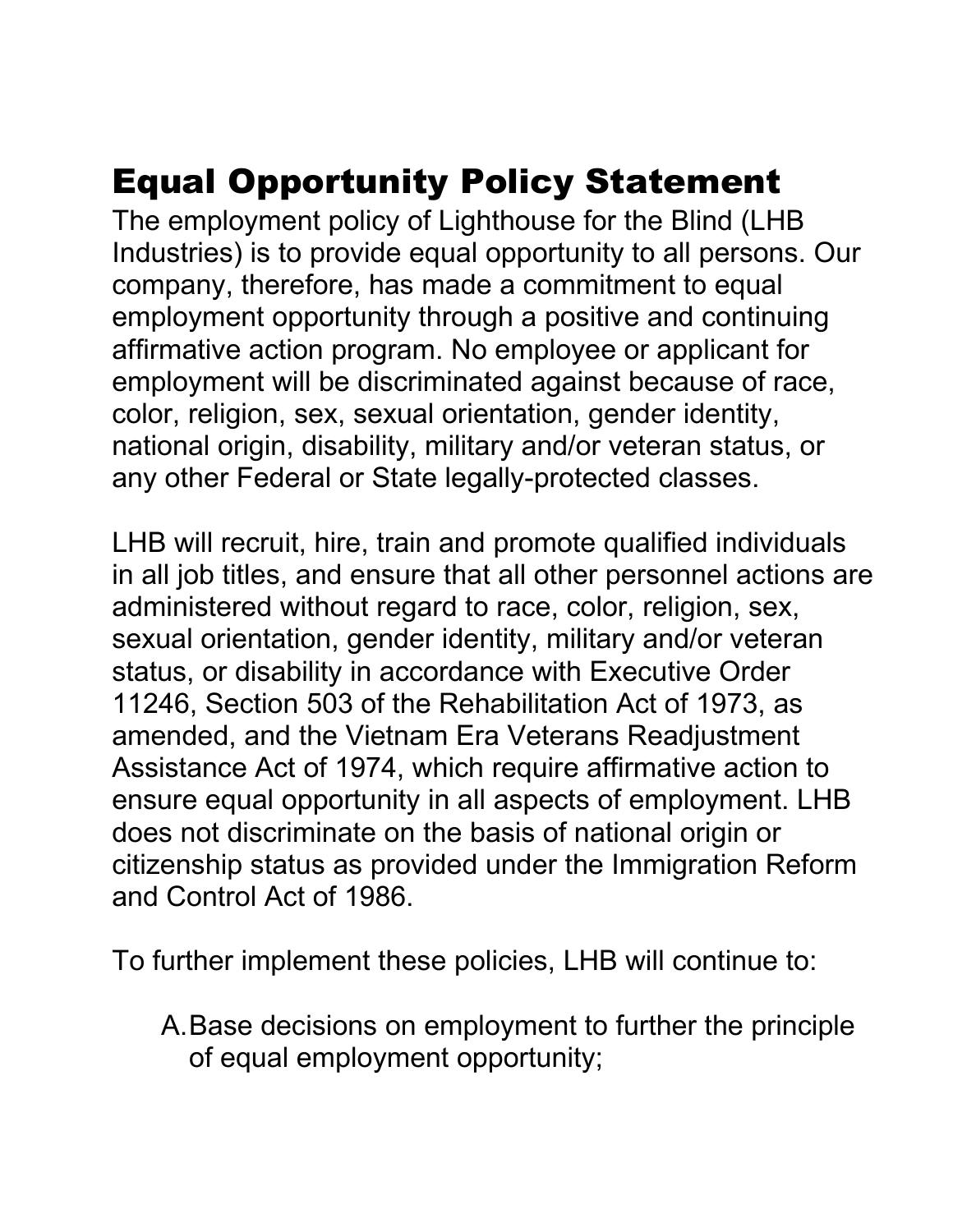## Equal Opportunity Policy Statement

The employment policy of Lighthouse for the Blind (LHB Industries) is to provide equal opportunity to all persons. Our company, therefore, has made a commitment to equal employment opportunity through a positive and continuing affirmative action program. No employee or applicant for employment will be discriminated against because of race, color, religion, sex, sexual orientation, gender identity, national origin, disability, military and/or veteran status, or any other Federal or State legally-protected classes.

LHB will recruit, hire, train and promote qualified individuals in all job titles, and ensure that all other personnel actions are administered without regard to race, color, religion, sex, sexual orientation, gender identity, military and/or veteran status, or disability in accordance with Executive Order 11246, Section 503 of the Rehabilitation Act of 1973, as amended, and the Vietnam Era Veterans Readjustment Assistance Act of 1974, which require affirmative action to ensure equal opportunity in all aspects of employment. LHB does not discriminate on the basis of national origin or citizenship status as provided under the Immigration Reform and Control Act of 1986.

To further implement these policies, LHB will continue to:

A.Base decisions on employment to further the principle of equal employment opportunity;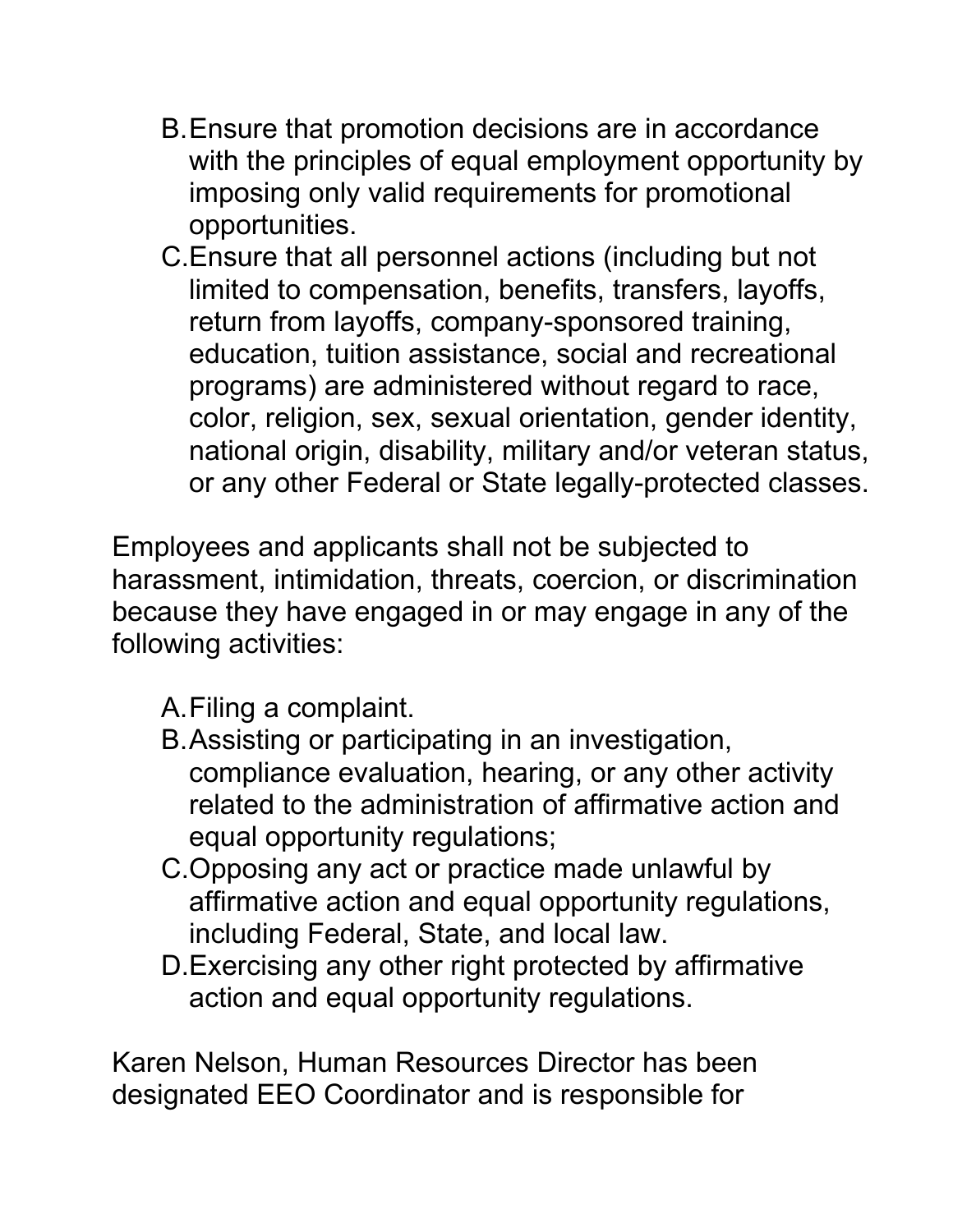- B.Ensure that promotion decisions are in accordance with the principles of equal employment opportunity by imposing only valid requirements for promotional opportunities.
- C.Ensure that all personnel actions (including but not limited to compensation, benefits, transfers, layoffs, return from layoffs, company-sponsored training, education, tuition assistance, social and recreational programs) are administered without regard to race, color, religion, sex, sexual orientation, gender identity, national origin, disability, military and/or veteran status, or any other Federal or State legally-protected classes.

Employees and applicants shall not be subjected to harassment, intimidation, threats, coercion, or discrimination because they have engaged in or may engage in any of the following activities:

A.Filing a complaint.

- B.Assisting or participating in an investigation, compliance evaluation, hearing, or any other activity related to the administration of affirmative action and equal opportunity regulations;
- C.Opposing any act or practice made unlawful by affirmative action and equal opportunity regulations, including Federal, State, and local law.
- D.Exercising any other right protected by affirmative action and equal opportunity regulations.

Karen Nelson, Human Resources Director has been designated EEO Coordinator and is responsible for